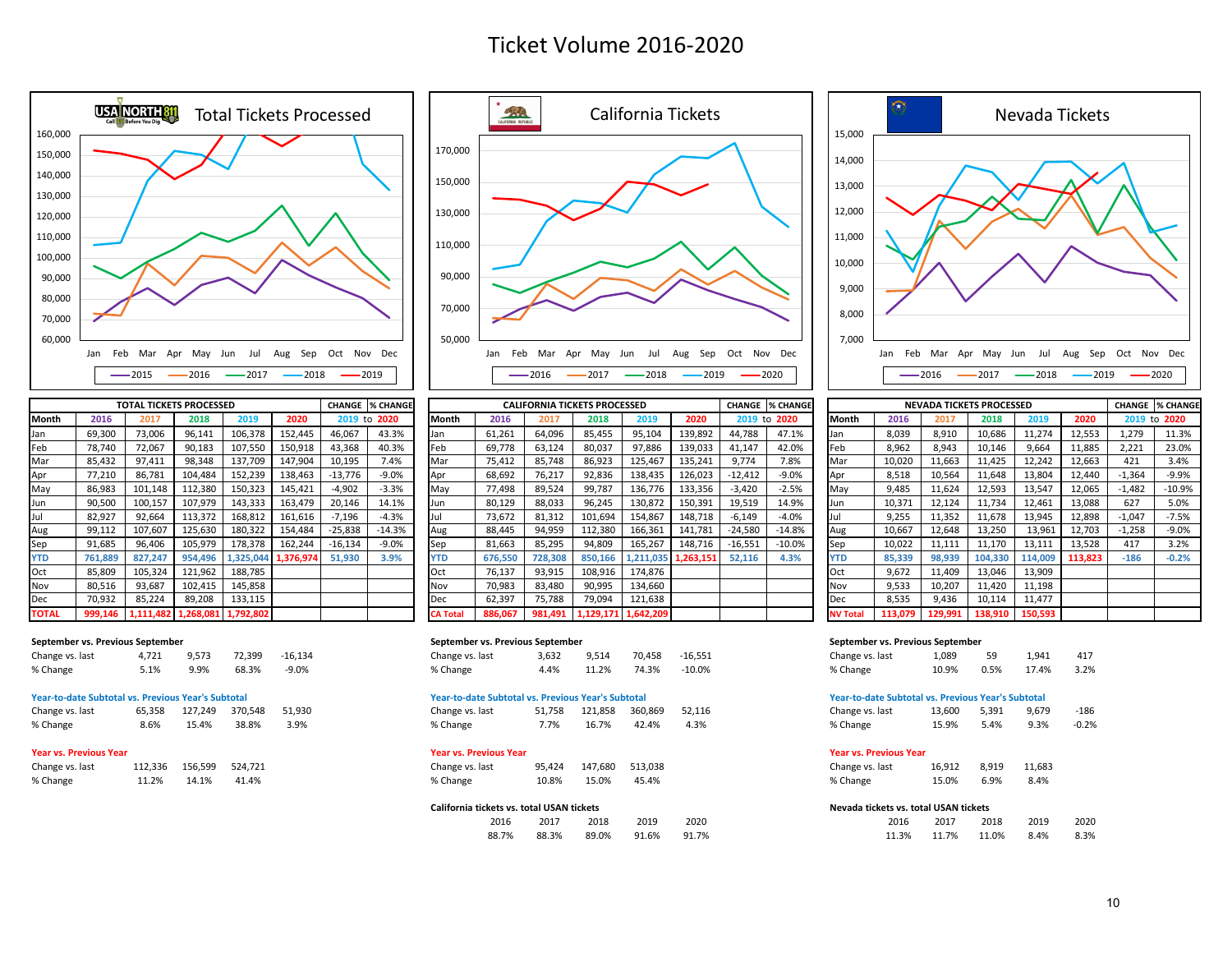# Ticket Volume 2016-2020



|              | <b>TOTAL TICKETS PROCESSED</b> |           |           |                     |         |           | <b>CHANGE  % CHANGE</b> | <b>CALIFORNIA TICKETS PROCESSED</b> |         |         |         |                     |           |           | <b>CHANGE % CHANGE</b> |                 |         |         | <b>NEVADA TICKETS PROCESSED</b> |         |         |          | <b>CHANGE % CHANG</b> |
|--------------|--------------------------------|-----------|-----------|---------------------|---------|-----------|-------------------------|-------------------------------------|---------|---------|---------|---------------------|-----------|-----------|------------------------|-----------------|---------|---------|---------------------------------|---------|---------|----------|-----------------------|
| Month        | 2016                           |           | 2018      | 2019                | 2020    |           | 2019 to 2020            | Month                               | 2016    | 2017    | 2018    | 2019                | 2020      |           | 2019 to 2020           | Month           | 2016    |         | 2018                            | 2019    | 2020    |          | 2019 to 2020          |
| Jan          | 69,300                         | 73,006    | 96,141    | 106,378             | 152,445 | 46,067    | 43.3%                   | Jan                                 | 61,261  | 64,096  | 85,455  | 95,104              | 139,892   | 44.788    | 47.1%                  |                 | 8,039   | 8,910   | 10,686                          | 11,274  | 12,553  | 1.279    | 11.3%                 |
| Feb          | 78,740                         | 72,067    | 90,183    | 107,550             | 150,918 | 43,368    | 40.3%                   | Feb                                 | 69,778  | 63,124  | 80,037  | 97,886              | 139,033   | 41,147    | 42.0%                  | Feb             | 8,962   | 8,943   | 10,146                          | 9.664   | 11,885  | 2.221    | 23.0%                 |
| Mar          | 85,432                         | 97,411    | 98,348    | 137,709             | 147,904 | 10,195    | 7.4%                    | Mar                                 | 75,412  | 85,748  | 86,923  | 125,467             | 135,241   | 9.774     | 7.8%                   | Mar             | 10,020  | 11,663  | 11,425                          | 12,242  | 12,663  | 421      | 3.4%                  |
| Apr          | 77,210                         | 86,781    | 104,484   | 152,239             | 138,463 | $-13,776$ | $-9.0%$                 | Apr                                 | 68,692  | 76,217  | 92,836  | 138,435             | 126,023   | $-12,412$ | $-9.0%$                | Apr             | 8,518   | 10.564  | 11,648                          | 13.804  | 12,440  | $-1,364$ | $-9.9%$               |
| May          | 86,983                         | 101,148   | 112,380   | 150,323             | 145,421 | $-4,902$  | $-3.3%$                 | May                                 | 77,498  | 89,524  | 99,787  | 136,776             | 133,356   | $-3,420$  | $-2.5%$                | May             | 9,485   | 11.624  | 12,593                          | 13,547  | 12,065  | $-1,482$ | $-10.9%$              |
| Jun          | 90,500                         | 100,157   | 107,979   | 143,333             | 163,479 | 20,146    | 14.1%                   | Jun                                 | 80,129  | 88,033  | 96,245  | 130,872             | 150,391   | 19,519    | 14.9%                  | <b>Jun</b>      | 10,371  | 12,124  | 11,734                          | 12,461  | 13,088  | 627      | 5.0%                  |
| Jul          | 82,927                         | 92,664    | 113,372   | 168,812             | 161,616 | -7,196    | $-4.3%$                 |                                     | 73,672  | 81,312  | 101,694 | 154,867             | 148,718   | $-6.149$  | $-4.0%$                |                 | 9.255   | 11.352  | 11,678                          | 13,945  | 12,898  | $-1,047$ | $-7.5%$               |
| Aug          | 99,112                         | 107,607   | 125,630   | 180,322             | 154,484 | $-25,838$ | $-14.3%$                | Aug                                 | 88,445  | 94,959  | 112,380 | 166,361             | 141,781   | $-24,580$ | $-14.8%$               | Aug             | 10,667  | 12.648  | 13,250                          | 13,961  | 12,703  | $-1,258$ | $-9.0%$               |
| Sep          | 91,685                         | 96.406    | 105,979   | 178,378             | 162,244 | $-16,134$ | $-9.0%$                 | Sep                                 | 81,663  | 85,295  | 94,809  | 165,267             | 148,716   | $-16,551$ | $-10.0%$               | Sep             | 10,022  | 11.111  | 11,170                          | 13,111  | 13,528  | 417      | 3.2%                  |
| <b>YTD</b>   | 761,889                        | 827.247   | 954.496   | 1,325,044 1,376,974 |         | 51,930    | 3.9%                    | <b>YTD</b>                          | 676,550 | 728,308 | 850,166 | 1,211,035           | 1,263,151 | 52,116    | 4.3%                   | <b>YTD</b>      | 85,339  | 98.939  | 104,330                         | 114,009 | 113.823 | $-186$   | $-0.2%$               |
| Oct          | 85,809                         | 105,324   | 121,962   | 188,785             |         |           |                         | Oct                                 | 76,137  | 93,915  | 108,916 | 174,876             |           |           |                        | <b>Oct</b>      | 9.672   | 11.409  | 13,046                          | 13,909  |         |          |                       |
| Nov          | 80,516                         | 93,687    | 102,415   | 145,858             |         |           |                         | Nov                                 | 70,983  | 83,480  | 90,995  | 134,660             |           |           |                        | Nov             | 9,533   | 10,207  | 11,420                          | 11,198  |         |          |                       |
| Dec          | 70,932                         | 85,224    | 89,208    | 133,115             |         |           |                         | Dec                                 | 62,397  | 75,788  | 79,094  | 121,638             |           |           |                        | Dec             | 8,535   | 9,436   | 10,114                          | 11,477  |         |          |                       |
| <b>TOTAL</b> | 999,146                        | 1,111,482 | 1,268,081 | 1,792,802           |         |           |                         | <b>CA Tota</b>                      | 886,067 | 981.491 |         | 1,129,171 1,642,209 |           |           |                        | <b>NV Total</b> | 113.079 | 129.991 | 138,910                         | 150,593 |         |          |                       |

| Change vs. last | 4.721 | 9,573 | 72.399 | $-16,134$ |
|-----------------|-------|-------|--------|-----------|
| % Change        | 5.1%  | 9.9%  | 68.3%  | -9.0%     |

### **Year-to-date Subtotal vs. Previous Year's Subtotal Year-to-date Subtotal vs. Previous Year's Subtotal Year-to-date Subtotal vs. Previous Year's Subtotal**

| Change vs. last |  | 65,358 127,249 370,548 51,930 | Change vs. last |  | 51,758 121,858 360,869 52,116 |  | Change vs. last | 13,600 5,391 9,679 -186 |                       |  |
|-----------------|--|-------------------------------|-----------------|--|-------------------------------|--|-----------------|-------------------------|-----------------------|--|
| % Change        |  | 8.6% 15.4% 38.8% 3.9%         | % Change        |  | 7.7% 16.7% 42.4% 4.3%         |  | % Change        |                         | 15.9% 5.4% 9.3% -0.2% |  |

### **Year vs. Previous Year Year vs. Previous Year Year vs. Previous Year**

| Change vs. last | 112.336 | 156.599 | 524,721 |  |
|-----------------|---------|---------|---------|--|
| % Change        | 11.2%   | 14.1%   | 41.4%   |  |



| TOTAL TICKETS PROCESSED |           |           |           |           | <b>CHANGE % CHANGE</b> | <b>CALIFORNIA TICKETS PROCESSED</b> |         |         | <b>CHANGE % CHANGE</b><br><b>NEVADA TICKETS PROCESSED</b> |           |           |           |              | <b>CHANGE % CHANGE</b> |                 |         |         |         |         |         |          |              |
|-------------------------|-----------|-----------|-----------|-----------|------------------------|-------------------------------------|---------|---------|-----------------------------------------------------------|-----------|-----------|-----------|--------------|------------------------|-----------------|---------|---------|---------|---------|---------|----------|--------------|
| 2017                    | 2018      | 2019      | 2020      |           | 2019 to 2020           | Month                               | 2016    | 2017    | 2018                                                      | 2019      | 2020      |           | 2019 to 2020 | Month                  |                 | 2016    | 2017    | 2018    | 2019    | 2020    |          | 2019 to 2020 |
| 73,006                  | 96,141    | 106,378   | 152,445   | 46,067    | 43.3%                  | IJan                                | 61,261  | 64.096  | 85,455                                                    | 95,104    | 139,892   | 44.788    | 47.1%        | IJan                   |                 | 8,039   | 8,910   | 10,686  | 11,274  | 12,553  | 1.279    | 11.3%        |
| 72,067                  | 90,183    | 107,550   | 150,918   | 43,368    | 40.3%                  | Feb                                 | 69,778  | 63,124  | 80,037                                                    | 97,886    | 139,033   | 41,147    | 42.0%        | Feb                    |                 | 8,962   | 8,943   | 10,146  | 9,664   | 11,885  | 2,221    | 23.0%        |
| 97,411                  | 98,348    | 137,709   | 147,904   | 10,195    | 7.4%                   | Mar                                 | 75,412  | 85,748  | 86,923                                                    | 125,467   | 135,241   | 9.774     | 7.8%         | Mar                    |                 | 10,020  | 11,663  | 11,425  | 12,242  | 12,663  | 421      | 3.4%         |
| 86,781                  | 104,484   | 152,239   | 138,463   | $-13,776$ | $-9.0%$                | Apr                                 | 68,692  | 76,217  | 92,836                                                    | 138,435   | 126,023   | $-12,412$ | $-9.0%$      | Apr                    |                 | 8,518   | 10,564  | 11,648  | 13,804  | 12,440  | $-1,364$ | $-9.9%$      |
| 101,148                 | 112.380   | 150,323   | 145,421   | $-4,902$  | $-3.3%$                | May                                 | 77,498  | 89,524  | 99,787                                                    | 136,776   | 133,356   | $-3,420$  | $-2.5%$      | May                    |                 | 9,485   | 11,624  | 12,593  | 13,547  | 12,065  | $-1,482$ | $-10.9%$     |
| 100,157                 | 107,979   | 143,333   | 163,479   | 20,146    | 14.1%                  | Jun                                 | 80,129  | 88,033  | 96,245                                                    | 130,872   | 150,391   | 19,519    | 14.9%        | Jun                    |                 | 10,371  | 12,124  | 11,734  | 12,461  | 13,088  | 627      | 5.0%         |
| 92,664                  | 113,372   | 168,812   | 161,616   | -7,196    | $-4.3%$                |                                     | 73,672  | 81,312  | 101,694                                                   | 154,867   | 148,718   | $-6,149$  | $-4.0%$      |                        |                 | 9,255   | 11,352  | 11,678  | 13,945  | 12,898  | $-1,047$ | $-7.5%$      |
| 107,607                 | 125,630   | 180,322   | 154,484   | $-25,838$ | $-14.3%$               | Aug                                 | 88,445  | 94,959  | 112,380                                                   | 166,361   | 141,781   | $-24,580$ | $-14.8%$     | Aug                    |                 | 10,667  | 12,648  | 13,250  | 13,961  | 12,703  | $-1,258$ | $-9.0%$      |
| 96,406                  | 105,979   | 178,378   | 162,244   | $-16,134$ | $-9.0%$                | Sep                                 | 81,663  | 85,295  | 94,809                                                    | 165,267   | 148,716   | $-16,551$ | $-10.0%$     | Sep                    |                 | 10,022  | 11,111  | 11,170  | 13,111  | 13,528  | 417      | 3.2%         |
| 827,247                 | 954,496   | 1,325,044 | 1,376,974 | 51,930    | 3.9%                   | YTD                                 | 676,550 | 728,308 | 850,166                                                   | 1.211.035 | 1,263,151 | 52,116    | 4.3%         | <b>YTD</b>             |                 | 85,339  | 98,939  | 104,330 | 114.009 | 113,823 | $-186$   | $-0.2%$      |
| 105,324                 | 121,962   | 188,785   |           |           |                        | <b>Oct</b>                          | 76,137  | 93,915  | 108,916                                                   | 174,876   |           |           |              | Oct                    |                 | 9,672   | 11,409  | 13,046  | 13,909  |         |          |              |
| 93,687                  | 102,415   | 145,858   |           |           |                        | Nov                                 | 70,983  | 83,480  | 90,995                                                    | 134,660   |           |           |              | Nov                    |                 | 9,533   | 10,207  | 11,420  | 11,198  |         |          |              |
| 85,224                  | 89,208    | 133,115   |           |           |                        | <b>IDec</b>                         | 62,397  | 75,788  | 79,094                                                    | 121,638   |           |           |              | Dec                    |                 | 8,535   | 9,436   | 10,114  | 11,477  |         |          |              |
| 1,111,482               | 1,268,081 | 1,792,802 |           |           |                        | CA Total                            | 886,067 | 981.491 | 1,129,171                                                 | 1.642.209 |           |           |              |                        | <b>NV Total</b> | 113,079 | 129.991 | 138,910 | 150.593 |         |          |              |

| Change vs. last | 4,721 9,573 72,399 -16,134 |                       | Change vs. last | 3,632 9,514 70,458 -16,551 |                         |  | Change vs. last 1,089 59 1,941 417 |  |                       |  |
|-----------------|----------------------------|-----------------------|-----------------|----------------------------|-------------------------|--|------------------------------------|--|-----------------------|--|
| % Change        |                            | 5.1% 9.9% 68.3% -9.0% | % Change        |                            | 4.4% 11.2% 74.3% -10.0% |  | % Change                           |  | 10.9% 0.5% 17.4% 3.2% |  |

| hange vs. last | 51,758 | 121.858 | 360.869 | 52,11 |
|----------------|--------|---------|---------|-------|
| S Change       | 7.7%   | 16.7%   | 42.4%   | 4.3%  |

| Change vs. last | 112,336 156,599 524,721 |                   | Change vs. last | 95,424 147,680 513,038 | Change vs. last | 16,912 8,919 11,683 |  |
|-----------------|-------------------------|-------------------|-----------------|------------------------|-----------------|---------------------|--|
| % Change        |                         | 11.2% 14.1% 41.4% | % Change        | 10.8% 15.0% 45.4%      | % Change        | 15.0% 6.9% 8.4%     |  |

## **California tickets vs. total USAN tickets Nevada tickets vs. total USAN tickets**

| 2016  | 2017  | 2018  | 2019  | 2020  |
|-------|-------|-------|-------|-------|
| 88.7% | 88.3% | 89.0% | 91.6% | 91.7% |



|                 | <b>NEVADA TICKETS PROCESSED</b> |         | <b>CHANGE</b> | % CHANGE |         |          |            |
|-----------------|---------------------------------|---------|---------------|----------|---------|----------|------------|
| Month           | 2016                            | 2017    | 2018          | 2019     | 2020    | 2019     | 2020<br>to |
| Jan             | 8,039                           | 8,910   | 10,686        | 11,274   | 12,553  | 1,279    | 11.3%      |
| Feb             | 8,962                           | 8,943   | 10,146        | 9,664    | 11,885  | 2,221    | 23.0%      |
| Mar             | 10,020                          | 11,663  | 11,425        | 12,242   | 12,663  | 421      | 3.4%       |
| Apr             | 8,518                           | 10,564  | 11,648        | 13,804   | 12,440  | $-1,364$ | $-9.9%$    |
| May             | 9,485                           | 11,624  | 12,593        | 13,547   | 12,065  | $-1,482$ | $-10.9%$   |
| Jun             | 10,371                          | 12,124  | 11,734        | 12,461   | 13,088  | 627      | 5.0%       |
| Jul             | 9.255                           | 11.352  | 11.678        | 13.945   | 12.898  | $-1,047$ | $-7.5%$    |
| Aug             | 10,667                          | 12,648  | 13,250        | 13,961   | 12,703  | $-1,258$ | $-9.0%$    |
| Sep             | 10,022                          | 11,111  | 11,170        | 13,111   | 13,528  | 417      | 3.2%       |
| <b>YTD</b>      | 85.339                          | 98.939  | 104.330       | 114.009  | 113,823 | $-186$   | $-0.2%$    |
| Oct             | 9,672                           | 11,409  | 13,046        | 13,909   |         |          |            |
| Nov             | 9,533                           | 10,207  | 11,420        | 11,198   |         |          |            |
| <b>Dec</b>      | 8,535                           | 9,436   | 10,114        | 11,477   |         |          |            |
| <b>NV Total</b> | 113,079                         | 129,991 | 138,910       | 150,593  |         |          |            |

### **September vs. Previous September September vs. Previous September September vs. Previous September**

| Change vs. last | 1.089 | 59   | 1.941 | 417  |
|-----------------|-------|------|-------|------|
| % Change        | 10.9% | 0.5% | 17.4% | 3.2% |

| Change vs. last | 65,358 127,249 370,548 51,930 |  | Change vs. last | 51,758 121,858 360,869 52,116 |                       |  | Change vs. last | 13,600 5,391 9,679 -186 |                       |  |
|-----------------|-------------------------------|--|-----------------|-------------------------------|-----------------------|--|-----------------|-------------------------|-----------------------|--|
| % Change        | 8.6% 15.4% 38.8% 3.9%         |  | % Change        |                               | 7.7% 16.7% 42.4% 4.3% |  | % Change        |                         | 15.9% 5.4% 9.3% -0.2% |  |

| Change vs. last                                                                                                | 16.912 | 8.919 | 11.683 |  |
|----------------------------------------------------------------------------------------------------------------|--------|-------|--------|--|
| % Change                                                                                                       | 15.0%  | 6.9%  | 8.4%   |  |
| At account on Atlantic account of the Line Atlantic Service of the Atlantic Service of the Atlantic Service of |        |       |        |  |

| 2016  | 2017  | 2018              | 2019 | 2020 | 2016 | 2017 | 2018                   | 2019 | 2020 |
|-------|-------|-------------------|------|------|------|------|------------------------|------|------|
| 88.7% | 88.3% | 89.0% 91.6% 91.7% |      |      |      |      | 11.3% 11.7% 11.0% 8.4% |      | 8.3% |